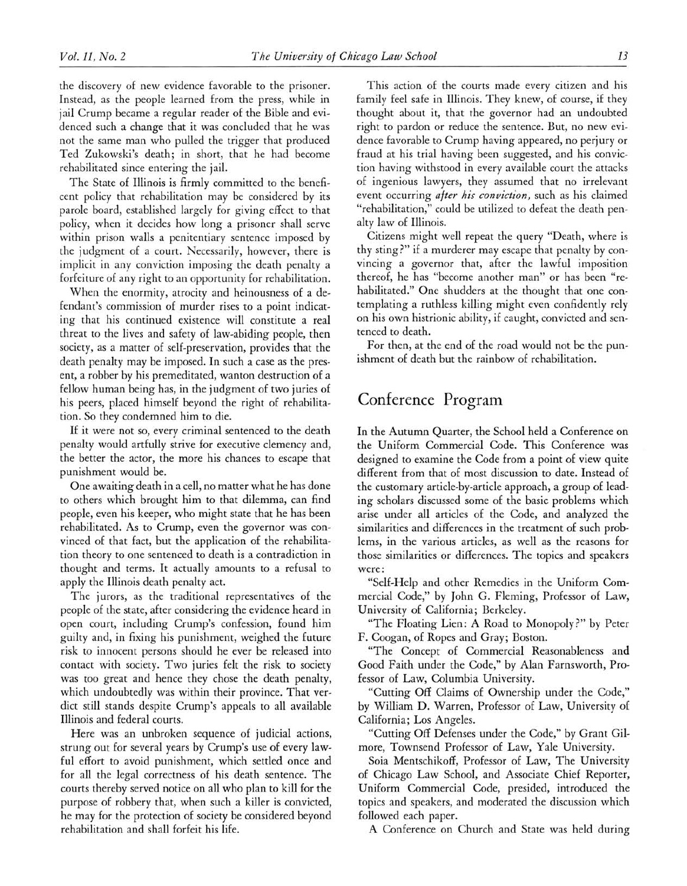## Conference Program

In the Autumn Quarter, the School held <sup>a</sup> Conference on the Uniform Commercial Code. This Conference was designed to examine the Code from <sup>a</sup> point of view quite different from that of most discussion to date. Instead of the customary article-by-article approach, <sup>a</sup> group of leading scholars discussed some of the basic problems which arise under all articles of the Code, and analyzed the similarities and differences in the treatment of such problems, in the various articles, as well as the reasons for those similarities or differences. The topics and speakers were:

"Self-Help and other Remedies in the Uniform Commercial Code," by John G. Fleming, Professor of Law, University of California; Berkeley.

"The Floating Lien: A Road to Monopoly?" by Peter F. Coogan, of Ropes and Gray; Boston.

"The Concept of Commercial Reasonableness and Good Faith under the Code," by Alan Farnsworth, Professor of Law, Columbia University.

"Cutting Off Claims of Ownership under the Code," by William D. Warren, Professor of Law, University of California; Los Angeles.

"Cutting Off Defenses under the Code," by Grant Gilmore, Townsend Professor of Law, Yale University.

Soia Mentschikoff, Professor of Law, The University of Chicago Law School, and Associate Chief Reporter, Uniform Commercial Code, presided, introduced the topics and speakers, and moderated the discussion which followed each paper.

A Conference on Church and State was held during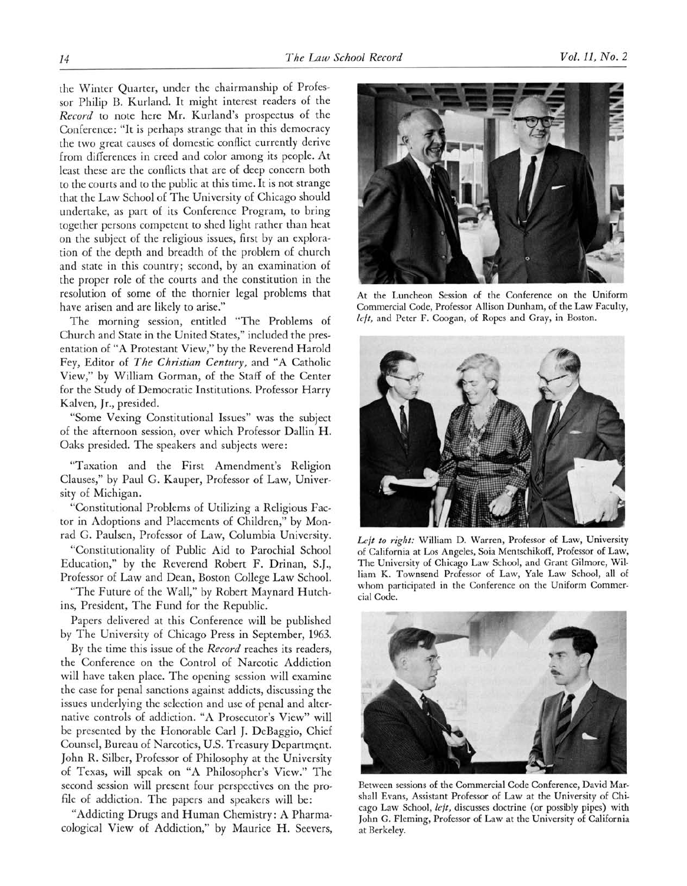the Winter Quarter, under the chairmanship of Professor Philip B. Kurland. It might interest readers of the Record to note here Mr. Kurland's prospectus of the Conference: "It is perhaps strange that in this democracy the two great causes of domestic conflict currently derive from differences in creed and color among its people. At least these are the conflicts that are of deep concern both to the oourts and to the public at this time. It is not strange that the Law School of The University of Chicago should undertake, as part of its Conference Program, to bring together persons competent to shed light rather than heat on the subject of the religious issues, first by an exploration of the depth and breadth of the problem of church and state in this country; second, by an examination of the proper role of the courts and the constitution in the resolution of some of the thornier legal problems that have arisen and are likely to arise."

The morning session, entitled "The Problems of Church and State in the United States," included the presentation of "A Protestant View," by the Reverend Harold Fey, Editor of The Christian Century, and "A Catholic View," by William Gorman, of the Staff of the Center for the Study of Democratic Institutions. Professor Harry Kalven, <sup>J</sup>r., presided.

"Some Vexing Constitutional Issues" was the subject of the afternoon session, over which Professor Dallin H. Oaks presided. The speakers and subjects were:

"Taxation and the First Amendment's Religion Clauses," by Paul G. Kauper, Professor of Law, University of Michigan.

"Constitutional Problems of Utilizing <sup>a</sup> Religious Factor in Adoptions and Placements of Children," by Monrad G. Paulsen, Professor of Law, Columbia University.

"Constitutionality of Public Aid to Parochial School Education," by the Reverend Robert F. Drinan, S.J., Professor of Law and Dean, Boston College Law School.

"The Future of the Wall," by Robert Maynard Hutchins, President, The Fund for the Republic.

Papers delivered at this Conference will be published by The University of Chicago Press in September, 1963.

By the time this issue of the Record reaches its readers, the Conference on the Control of Narcotic Addiction will have taken place. The opening session will examine the case for penal sanctions against addicts, discussing the issues underlying the selection and use of penal and alternative controls of addiction. "A Prosecutor's View" will be presented by the Honorable Carl J. Debaggio, Chief Counsel, Bureau of Narcotics, U.S. Treasury Department. John R. Silber, Professor of Philosophy at the University of Texas, will speak on "A Philosopher's View." The second session will present four perspectives on the profile of addiction. The papers and speakers will be:

"Addicting Drugs and Human Chemistry: A Pharrnacological View of Addiction," by Maurice H. Seevers,



At the Luncheon Session of the Conference on the Uniform Commercial Code, Professor Allison Dunham, of the Law Faculty, left, and Peter F. Coogan, of Ropes and Gray, in Boston.



Left to right: William D. Warren, Professor of Law, University of California at Los Angeles, Soia Mentschikoff, Professor of Law, The University of Chicago Law School, and Grant Gilmore, William K. Townsend Professor of Law, Yale Law School, all of whom participated in the Conference on the Uniform Commercial Code.



Between sessions of the Commercial Code Conference, David Marshall Evans, Assistant Professor of Law at the University of Chicago Law School, left, discusses doctrine (or possibly pipes) with John G. Fleming, Professor of Law at the University of California at Berkeley.